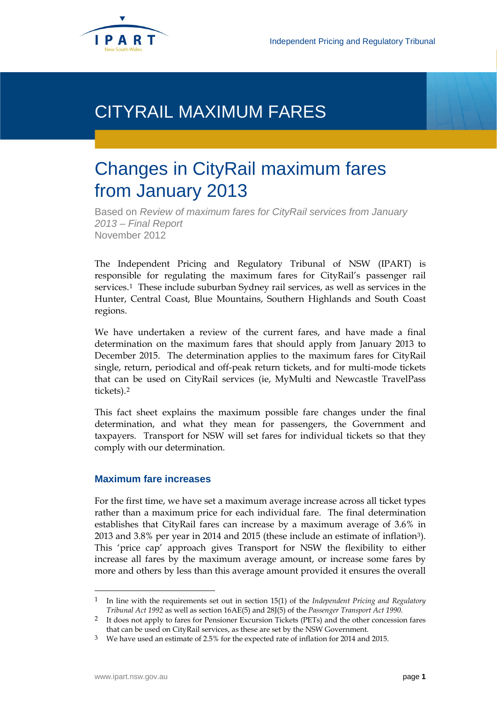

## CITYRAIL MAXIMUM FARES

# Changes in CityRail maximum fares from January 2013

Based on *Review of maximum fares for CityRail services from January 2013 – Final Report* November 2012

The Independent Pricing and Regulatory Tribunal of NSW (IPART) is responsible for regulating the maximum fares for CityRail's passenger rail services.[1](#page-0-0) These include suburban Sydney rail services, as well as services in the Hunter, Central Coast, Blue Mountains, Southern Highlands and South Coast regions.

We have undertaken a review of the current fares, and have made a final determination on the maximum fares that should apply from January 2013 to December 2015. The determination applies to the maximum fares for CityRail single, return, periodical and off-peak return tickets, and for multi-mode tickets that can be used on CityRail services (ie, MyMulti and Newcastle TravelPass tickets).[2](#page-0-1)

This fact sheet explains the maximum possible fare changes under the final determination, and what they mean for passengers, the Government and taxpayers. Transport for NSW will set fares for individual tickets so that they comply with our determination.

#### **Maximum fare increases**

For the first time, we have set a maximum average increase across all ticket types rather than a maximum price for each individual fare. The final determination establishes that CityRail fares can increase by a maximum average of 3.6% in 2013 and 3.8% per year in 2014 and 2015 (these include an estimate of inflation[3](#page-0-2)). This 'price cap' approach gives Transport for NSW the flexibility to either increase all fares by the maximum average amount, or increase some fares by more and others by less than this average amount provided it ensures the overall

<span id="page-0-3"></span><span id="page-0-0"></span> <sup>1</sup> In line with the requirements set out in section 15(1) of the *Independent Pricing and Regulatory Tribunal Act 1992* as well as section 16AE(5) and 28J(5) of the *Passenger Transport Act 1990*.

<span id="page-0-1"></span><sup>2</sup> It does not apply to fares for Pensioner Excursion Tickets (PETs) and the other concession fares that can be used on CityRail services, as these are set by the NSW Government.

<span id="page-0-2"></span><sup>3</sup> We have used an estimate of 2.5% for the expected rate of inflation for 2014 and 2015.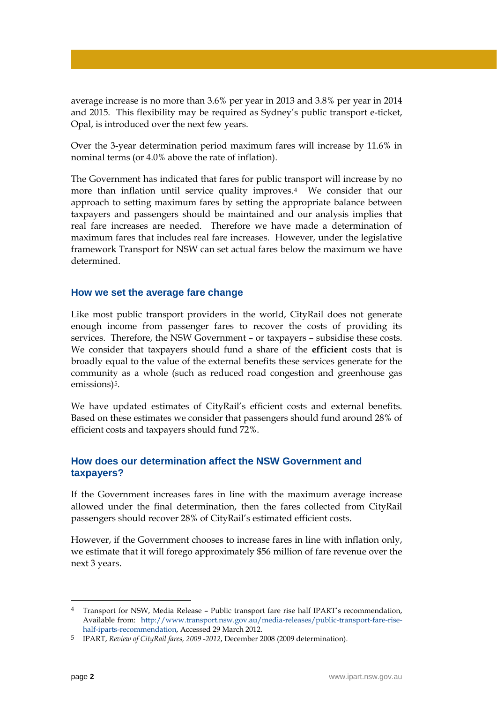average increase is no more than 3.6% per year in 2013 and 3.8% per year in 2014 and 2015. This flexibility may be required as Sydney's public transport e-ticket, Opal, is introduced over the next few years.

Over the 3-year determination period maximum fares will increase by 11.6% in nominal terms (or 4.0% above the rate of inflation).

The Government has indicated that fares for public transport will increase by no more than inflation until service quality improves.[4](#page-0-3) We consider that our approach to setting maximum fares by setting the appropriate balance between taxpayers and passengers should be maintained and our analysis implies that real fare increases are needed. Therefore we have made a determination of maximum fares that includes real fare increases. However, under the legislative framework Transport for NSW can set actual fares below the maximum we have determined.

#### **How we set the average fare change**

Like most public transport providers in the world, CityRail does not generate enough income from passenger fares to recover the costs of providing its services. Therefore, the NSW Government – or taxpayers – subsidise these costs. We consider that taxpayers should fund a share of the **efficient** costs that is broadly equal to the value of the external benefits these services generate for the community as a whole (such as reduced road congestion and greenhouse gas emissions)<sup>5</sup>.

We have updated estimates of CityRail's efficient costs and external benefits. Based on these estimates we consider that passengers should fund around 28% of efficient costs and taxpayers should fund 72%.

## **How does our determination affect the NSW Government and taxpayers?**

If the Government increases fares in line with the maximum average increase allowed under the final determination, then the fares collected from CityRail passengers should recover 28% of CityRail's estimated efficient costs.

However, if the Government chooses to increase fares in line with inflation only, we estimate that it will forego approximately \$56 million of fare revenue over the next 3 years.

 <sup>4</sup> Transport for NSW, Media Release – Public transport fare rise half IPART's recommendation, Available from: [http://www.transport.nsw.gov.au/media-releases/public-transport-fare-rise](http://www.transport.nsw.gov.au/media-releases/public-transport-fare-rise-half-iparts-recommendation)[half-iparts-recommendation,](http://www.transport.nsw.gov.au/media-releases/public-transport-fare-rise-half-iparts-recommendation) Accessed 29 March 2012.

<span id="page-1-0"></span><sup>5</sup> IPART, *Review of CityRail fares, 2009 -2012*, December 2008 (2009 determination).